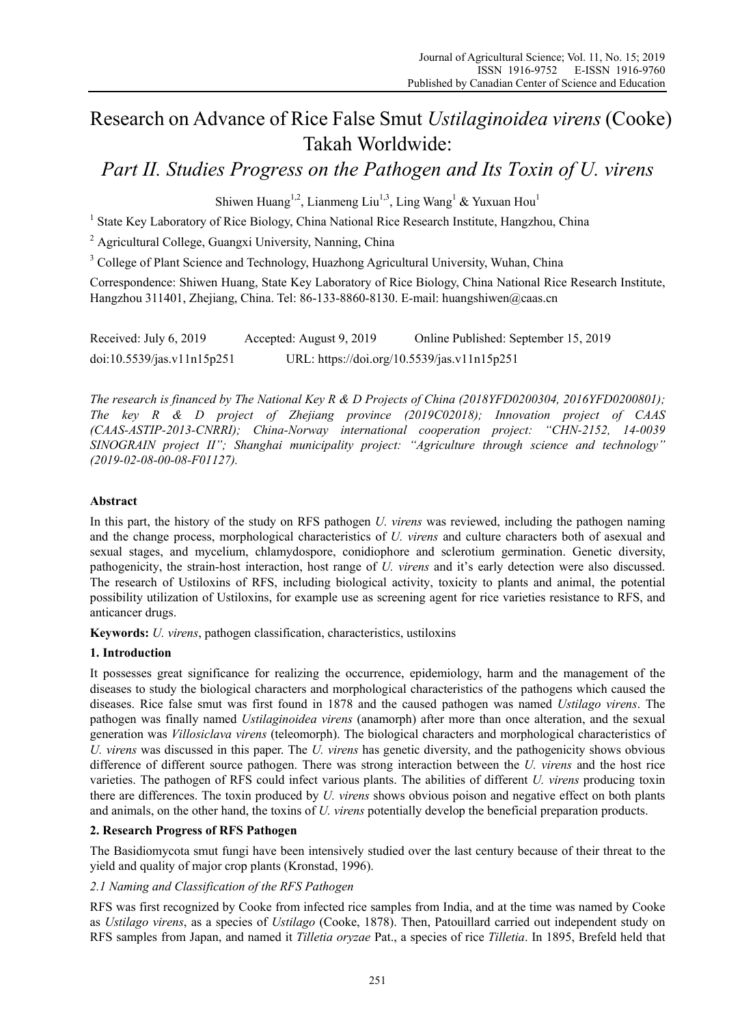# Research on Advance of Rice False Smut *Ustilaginoidea virens* (Cooke) Takah Worldwide:

# *Part II. Studies Progress on the Pathogen and Its Toxin of U. virens*

Shiwen Huang<sup>1,2</sup>, Lianmeng Liu<sup>1,3</sup>, Ling Wang<sup>1</sup> & Yuxuan Hou<sup>1</sup>

<sup>1</sup> State Key Laboratory of Rice Biology, China National Rice Research Institute, Hangzhou, China

<sup>2</sup> Agricultural College, Guangxi University, Nanning, China

<sup>3</sup> College of Plant Science and Technology, Huazhong Agricultural University, Wuhan, China

Correspondence: Shiwen Huang, State Key Laboratory of Rice Biology, China National Rice Research Institute, Hangzhou 311401, Zhejiang, China. Tel: 86-133-8860-8130. E-mail: huangshiwen@caas.cn

Received: July 6, 2019 Accepted: August 9, 2019 Online Published: September 15, 2019 doi:10.5539/jas.v11n15p251 URL: https://doi.org/10.5539/jas.v11n15p251

*The research is financed by The National Key R & D Projects of China (2018YFD0200304, 2016YFD0200801); The key R & D project of Zhejiang province (2019C02018); Innovation project of CAAS (CAAS-ASTIP-2013-CNRRI); China-Norway international cooperation project: "CHN-2152, 14-0039 SINOGRAIN project II"; Shanghai municipality project: "Agriculture through science and technology" (2019-02-08-00-08-F01127).* 

# **Abstract**

In this part, the history of the study on RFS pathogen *U. virens* was reviewed, including the pathogen naming and the change process, morphological characteristics of *U. virens* and culture characters both of asexual and sexual stages, and mycelium, chlamydospore, conidiophore and sclerotium germination. Genetic diversity, pathogenicity, the strain-host interaction, host range of *U. virens* and it's early detection were also discussed. The research of Ustiloxins of RFS, including biological activity, toxicity to plants and animal, the potential possibility utilization of Ustiloxins, for example use as screening agent for rice varieties resistance to RFS, and anticancer drugs.

**Keywords:** *U. virens*, pathogen classification, characteristics, ustiloxins

# **1. Introduction**

It possesses great significance for realizing the occurrence, epidemiology, harm and the management of the diseases to study the biological characters and morphological characteristics of the pathogens which caused the diseases. Rice false smut was first found in 1878 and the caused pathogen was named *Ustilago virens*. The pathogen was finally named *Ustilaginoidea virens* (anamorph) after more than once alteration, and the sexual generation was *Villosiclava virens* (teleomorph). The biological characters and morphological characteristics of *U. virens* was discussed in this paper. The *U. virens* has genetic diversity, and the pathogenicity shows obvious difference of different source pathogen. There was strong interaction between the *U. virens* and the host rice varieties. The pathogen of RFS could infect various plants. The abilities of different *U. virens* producing toxin there are differences. The toxin produced by *U. virens* shows obvious poison and negative effect on both plants and animals, on the other hand, the toxins of *U. virens* potentially develop the beneficial preparation products.

# **2. Research Progress of RFS Pathogen**

The Basidiomycota smut fungi have been intensively studied over the last century because of their threat to the yield and quality of major crop plants (Kronstad, 1996).

# *2.1 Naming and Classification of the RFS Pathogen*

RFS was first recognized by Cooke from infected rice samples from India, and at the time was named by Cooke as *Ustilago virens*, as a species of *Ustilago* (Cooke, 1878). Then, Patouillard carried out independent study on RFS samples from Japan, and named it *Tilletia oryzae* Pat., a species of rice *Tilletia*. In 1895, Brefeld held that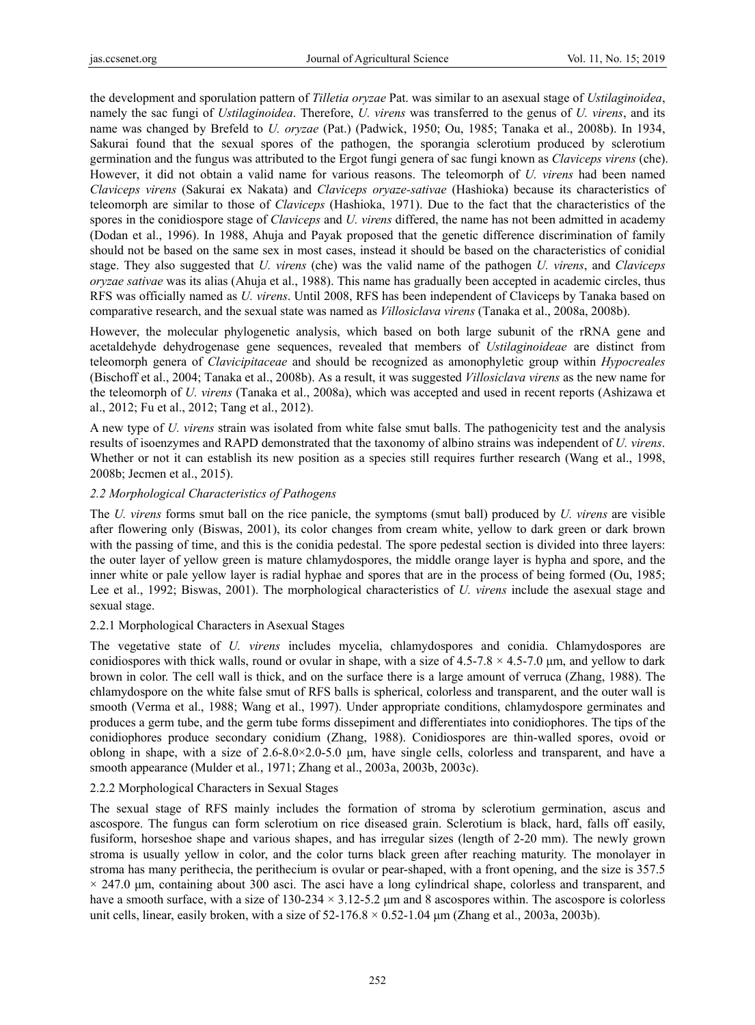the development and sporulation pattern of *Tilletia oryzae* Pat. was similar to an asexual stage of *Ustilaginoidea*, namely the sac fungi of *Ustilaginoidea*. Therefore, *U. virens* was transferred to the genus of *U. virens*, and its name was changed by Brefeld to *U. oryzae* (Pat.) (Padwick, 1950; Ou, 1985; Tanaka et al., 2008b). In 1934, Sakurai found that the sexual spores of the pathogen, the sporangia sclerotium produced by sclerotium germination and the fungus was attributed to the Ergot fungi genera of sac fungi known as *Claviceps virens* (che). However, it did not obtain a valid name for various reasons. The teleomorph of *U. virens* had been named *Claviceps virens* (Sakurai ex Nakata) and *Claviceps oryaze-sativae* (Hashioka) because its characteristics of teleomorph are similar to those of *Claviceps* (Hashioka, 1971). Due to the fact that the characteristics of the spores in the conidiospore stage of *Claviceps* and *U. virens* differed, the name has not been admitted in academy (Dodan et al., 1996). In 1988, Ahuja and Payak proposed that the genetic difference discrimination of family should not be based on the same sex in most cases, instead it should be based on the characteristics of conidial stage. They also suggested that *U. virens* (che) was the valid name of the pathogen *U. virens*, and *Claviceps oryzae sativae* was its alias (Ahuja et al., 1988). This name has gradually been accepted in academic circles, thus RFS was officially named as *U. virens*. Until 2008, RFS has been independent of Claviceps by Tanaka based on comparative research, and the sexual state was named as *Villosiclava virens* (Tanaka et al., 2008a, 2008b).

However, the molecular phylogenetic analysis, which based on both large subunit of the rRNA gene and acetaldehyde dehydrogenase gene sequences, revealed that members of *Ustilaginoideae* are distinct from teleomorph genera of *Clavicipitaceae* and should be recognized as amonophyletic group within *Hypocreales* (Bischoff et al., 2004; Tanaka et al., 2008b). As a result, it was suggested *Villosiclava virens* as the new name for the teleomorph of *U. virens* (Tanaka et al., 2008a), which was accepted and used in recent reports (Ashizawa et al., 2012; Fu et al., 2012; Tang et al., 2012).

A new type of *U. virens* strain was isolated from white false smut balls. The pathogenicity test and the analysis results of isoenzymes and RAPD demonstrated that the taxonomy of albino strains was independent of *U. virens*. Whether or not it can establish its new position as a species still requires further research (Wang et al., 1998, 2008b; Jecmen et al., 2015).

# *2.2 Morphological Characteristics of Pathogens*

The *U. virens* forms smut ball on the rice panicle, the symptoms (smut ball) produced by *U. virens* are visible after flowering only (Biswas, 2001), its color changes from cream white, yellow to dark green or dark brown with the passing of time, and this is the conidia pedestal. The spore pedestal section is divided into three layers: the outer layer of yellow green is mature chlamydospores, the middle orange layer is hypha and spore, and the inner white or pale yellow layer is radial hyphae and spores that are in the process of being formed (Ou, 1985; Lee et al., 1992; Biswas, 2001). The morphological characteristics of *U. virens* include the asexual stage and sexual stage.

#### 2.2.1 Morphological Characters in Asexual Stages

The vegetative state of *U. virens* includes mycelia, chlamydospores and conidia. Chlamydospores are conidiospores with thick walls, round or ovular in shape, with a size of  $4.5-7.8 \times 4.5-7.0$  µm, and yellow to dark brown in color. The cell wall is thick, and on the surface there is a large amount of verruca (Zhang, 1988). The chlamydospore on the white false smut of RFS balls is spherical, colorless and transparent, and the outer wall is smooth (Verma et al., 1988; Wang et al., 1997). Under appropriate conditions, chlamydospore germinates and produces a germ tube, and the germ tube forms dissepiment and differentiates into conidiophores. The tips of the conidiophores produce secondary conidium (Zhang, 1988). Conidiospores are thin-walled spores, ovoid or oblong in shape, with a size of 2.6-8.0×2.0-5.0 μm, have single cells, colorless and transparent, and have a smooth appearance (Mulder et al., 1971; Zhang et al., 2003a, 2003b, 2003c).

#### 2.2.2 Morphological Characters in Sexual Stages

The sexual stage of RFS mainly includes the formation of stroma by sclerotium germination, ascus and ascospore. The fungus can form sclerotium on rice diseased grain. Sclerotium is black, hard, falls off easily, fusiform, horseshoe shape and various shapes, and has irregular sizes (length of 2-20 mm). The newly grown stroma is usually yellow in color, and the color turns black green after reaching maturity. The monolayer in stroma has many perithecia, the perithecium is ovular or pear-shaped, with a front opening, and the size is 357.5  $\times$  247.0 μm, containing about 300 asci. The asci have a long cylindrical shape, colorless and transparent, and have a smooth surface, with a size of 130-234 × 3.12-5.2 μm and 8 ascospores within. The ascospore is colorless unit cells, linear, easily broken, with a size of  $52-176.8 \times 0.52-1.04 \mu m$  (Zhang et al., 2003a, 2003b).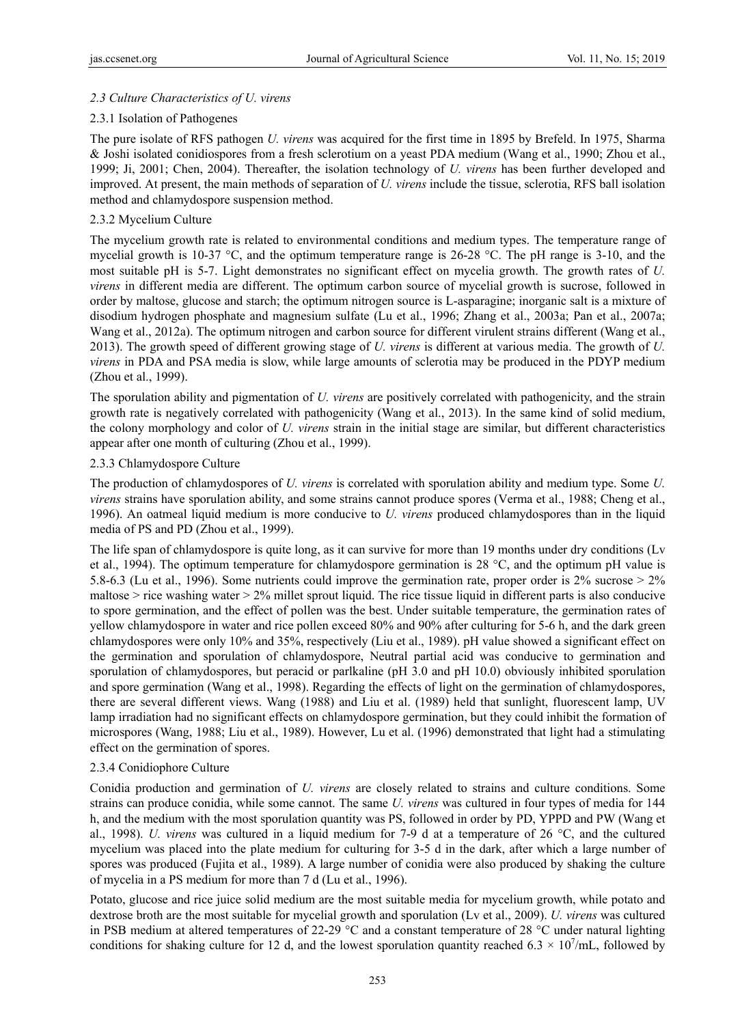# *2.3 Culture Characteristics of U. virens*

#### 2.3.1 Isolation of Pathogenes

The pure isolate of RFS pathogen *U. virens* was acquired for the first time in 1895 by Brefeld. In 1975, Sharma & Joshi isolated conidiospores from a fresh sclerotium on a yeast PDA medium (Wang et al., 1990; Zhou et al., 1999; Ji, 2001; Chen, 2004). Thereafter, the isolation technology of *U. virens* has been further developed and improved. At present, the main methods of separation of *U. virens* include the tissue, sclerotia, RFS ball isolation method and chlamydospore suspension method.

# 2.3.2 Mycelium Culture

The mycelium growth rate is related to environmental conditions and medium types. The temperature range of mycelial growth is 10-37 °C, and the optimum temperature range is 26-28 °C. The pH range is 3-10, and the most suitable pH is 5-7. Light demonstrates no significant effect on mycelia growth. The growth rates of *U. virens* in different media are different. The optimum carbon source of mycelial growth is sucrose, followed in order by maltose, glucose and starch; the optimum nitrogen source is L-asparagine; inorganic salt is a mixture of disodium hydrogen phosphate and magnesium sulfate (Lu et al., 1996; Zhang et al., 2003a; Pan et al., 2007a; Wang et al., 2012a). The optimum nitrogen and carbon source for different virulent strains different (Wang et al., 2013). The growth speed of different growing stage of *U. virens* is different at various media. The growth of *U. virens* in PDA and PSA media is slow, while large amounts of sclerotia may be produced in the PDYP medium (Zhou et al., 1999).

The sporulation ability and pigmentation of *U. virens* are positively correlated with pathogenicity, and the strain growth rate is negatively correlated with pathogenicity (Wang et al., 2013). In the same kind of solid medium, the colony morphology and color of *U. virens* strain in the initial stage are similar, but different characteristics appear after one month of culturing (Zhou et al., 1999).

#### 2.3.3 Chlamydospore Culture

The production of chlamydospores of *U. virens* is correlated with sporulation ability and medium type. Some *U. virens* strains have sporulation ability, and some strains cannot produce spores (Verma et al., 1988; Cheng et al., 1996). An oatmeal liquid medium is more conducive to *U. virens* produced chlamydospores than in the liquid media of PS and PD (Zhou et al., 1999).

The life span of chlamydospore is quite long, as it can survive for more than 19 months under dry conditions (Lv et al., 1994). The optimum temperature for chlamydospore germination is 28 °C, and the optimum pH value is 5.8-6.3 (Lu et al., 1996). Some nutrients could improve the germination rate, proper order is 2% sucrose > 2% maltose  $>$  rice washing water  $>$  2% millet sprout liquid. The rice tissue liquid in different parts is also conducive to spore germination, and the effect of pollen was the best. Under suitable temperature, the germination rates of yellow chlamydospore in water and rice pollen exceed 80% and 90% after culturing for 5-6 h, and the dark green chlamydospores were only 10% and 35%, respectively (Liu et al., 1989). pH value showed a significant effect on the germination and sporulation of chlamydospore, Neutral partial acid was conducive to germination and sporulation of chlamydospores, but peracid or parlkaline (pH 3.0 and pH 10.0) obviously inhibited sporulation and spore germination (Wang et al., 1998). Regarding the effects of light on the germination of chlamydospores, there are several different views. Wang (1988) and Liu et al. (1989) held that sunlight, fluorescent lamp, UV lamp irradiation had no significant effects on chlamydospore germination, but they could inhibit the formation of microspores (Wang, 1988; Liu et al., 1989). However, Lu et al. (1996) demonstrated that light had a stimulating effect on the germination of spores.

# 2.3.4 Conidiophore Culture

Conidia production and germination of *U. virens* are closely related to strains and culture conditions. Some strains can produce conidia, while some cannot. The same *U. virens* was cultured in four types of media for 144 h, and the medium with the most sporulation quantity was PS, followed in order by PD, YPPD and PW (Wang et al., 1998). *U. virens* was cultured in a liquid medium for 7-9 d at a temperature of 26 °C, and the cultured mycelium was placed into the plate medium for culturing for 3-5 d in the dark, after which a large number of spores was produced (Fujita et al., 1989). A large number of conidia were also produced by shaking the culture of mycelia in a PS medium for more than 7 d (Lu et al., 1996).

Potato, glucose and rice juice solid medium are the most suitable media for mycelium growth, while potato and dextrose broth are the most suitable for mycelial growth and sporulation (Lv et al., 2009). *U. virens* was cultured in PSB medium at altered temperatures of 22-29 °C and a constant temperature of 28 °C under natural lighting conditions for shaking culture for 12 d, and the lowest sporulation quantity reached 6.3  $\times$  10<sup>7</sup>/mL, followed by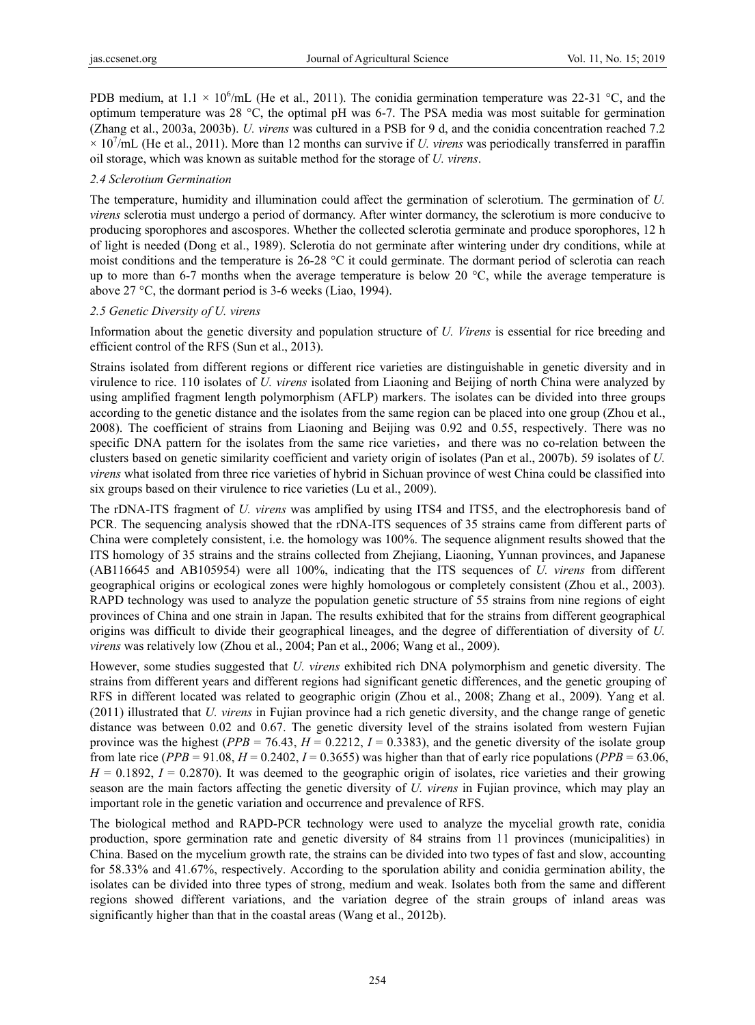PDB medium, at  $1.1 \times 10^6$ /mL (He et al., 2011). The conidia germination temperature was 22-31 °C, and the optimum temperature was 28 °C, the optimal pH was 6-7. The PSA media was most suitable for germination (Zhang et al., 2003a, 2003b). *U. virens* was cultured in a PSB for 9 d, and the conidia concentration reached 7.2  $\times$  10<sup>7</sup>/mL (He et al., 2011). More than 12 months can survive if *U. virens* was periodically transferred in paraffin oil storage, which was known as suitable method for the storage of *U. virens*.

#### *2.4 Sclerotium Germination*

The temperature, humidity and illumination could affect the germination of sclerotium. The germination of *U. virens* sclerotia must undergo a period of dormancy. After winter dormancy, the sclerotium is more conducive to producing sporophores and ascospores. Whether the collected sclerotia germinate and produce sporophores, 12 h of light is needed (Dong et al., 1989). Sclerotia do not germinate after wintering under dry conditions, while at moist conditions and the temperature is 26-28 °C it could germinate. The dormant period of sclerotia can reach up to more than 6-7 months when the average temperature is below 20  $^{\circ}$ C, while the average temperature is above 27 °C, the dormant period is 3-6 weeks (Liao, 1994).

# *2.5 Genetic Diversity of U. virens*

Information about the genetic diversity and population structure of *U. Virens* is essential for rice breeding and efficient control of the RFS (Sun et al., 2013).

Strains isolated from different regions or different rice varieties are distinguishable in genetic diversity and in virulence to rice. 110 isolates of *U. virens* isolated from Liaoning and Beijing of north China were analyzed by using amplified fragment length polymorphism (AFLP) markers. The isolates can be divided into three groups according to the genetic distance and the isolates from the same region can be placed into one group (Zhou et al., 2008). The coefficient of strains from Liaoning and Beijing was 0.92 and 0.55, respectively. There was no specific DNA pattern for the isolates from the same rice varieties, and there was no co-relation between the clusters based on genetic similarity coefficient and variety origin of isolates (Pan et al., 2007b). 59 isolates of *U. virens* what isolated from three rice varieties of hybrid in Sichuan province of west China could be classified into six groups based on their virulence to rice varieties (Lu et al., 2009).

The rDNA-ITS fragment of *U. virens* was amplified by using ITS4 and ITS5, and the electrophoresis band of PCR. The sequencing analysis showed that the rDNA-ITS sequences of 35 strains came from different parts of China were completely consistent, i.e. the homology was 100%. The sequence alignment results showed that the ITS homology of 35 strains and the strains collected from Zhejiang, Liaoning, Yunnan provinces, and Japanese (AB116645 and AB105954) were all 100%, indicating that the ITS sequences of *U. virens* from different geographical origins or ecological zones were highly homologous or completely consistent (Zhou et al., 2003). RAPD technology was used to analyze the population genetic structure of 55 strains from nine regions of eight provinces of China and one strain in Japan. The results exhibited that for the strains from different geographical origins was difficult to divide their geographical lineages, and the degree of differentiation of diversity of *U. virens* was relatively low (Zhou et al., 2004; Pan et al., 2006; Wang et al., 2009).

However, some studies suggested that *U. virens* exhibited rich DNA polymorphism and genetic diversity. The strains from different years and different regions had significant genetic differences, and the genetic grouping of RFS in different located was related to geographic origin (Zhou et al., 2008; Zhang et al., 2009). Yang et al. (2011) illustrated that *U. virens* in Fujian province had a rich genetic diversity, and the change range of genetic distance was between 0.02 and 0.67. The genetic diversity level of the strains isolated from western Fujian province was the highest ( $PPB = 76.43$ ,  $H = 0.2212$ ,  $I = 0.3383$ ), and the genetic diversity of the isolate group from late rice ( $PPB = 91.08$ ,  $H = 0.2402$ ,  $I = 0.3655$ ) was higher than that of early rice populations ( $PPB = 63.06$ ,  $H = 0.1892$ ,  $I = 0.2870$ ). It was deemed to the geographic origin of isolates, rice varieties and their growing season are the main factors affecting the genetic diversity of *U. virens* in Fujian province, which may play an important role in the genetic variation and occurrence and prevalence of RFS.

The biological method and RAPD-PCR technology were used to analyze the mycelial growth rate, conidia production, spore germination rate and genetic diversity of 84 strains from 11 provinces (municipalities) in China. Based on the mycelium growth rate, the strains can be divided into two types of fast and slow, accounting for 58.33% and 41.67%, respectively. According to the sporulation ability and conidia germination ability, the isolates can be divided into three types of strong, medium and weak. Isolates both from the same and different regions showed different variations, and the variation degree of the strain groups of inland areas was significantly higher than that in the coastal areas (Wang et al., 2012b).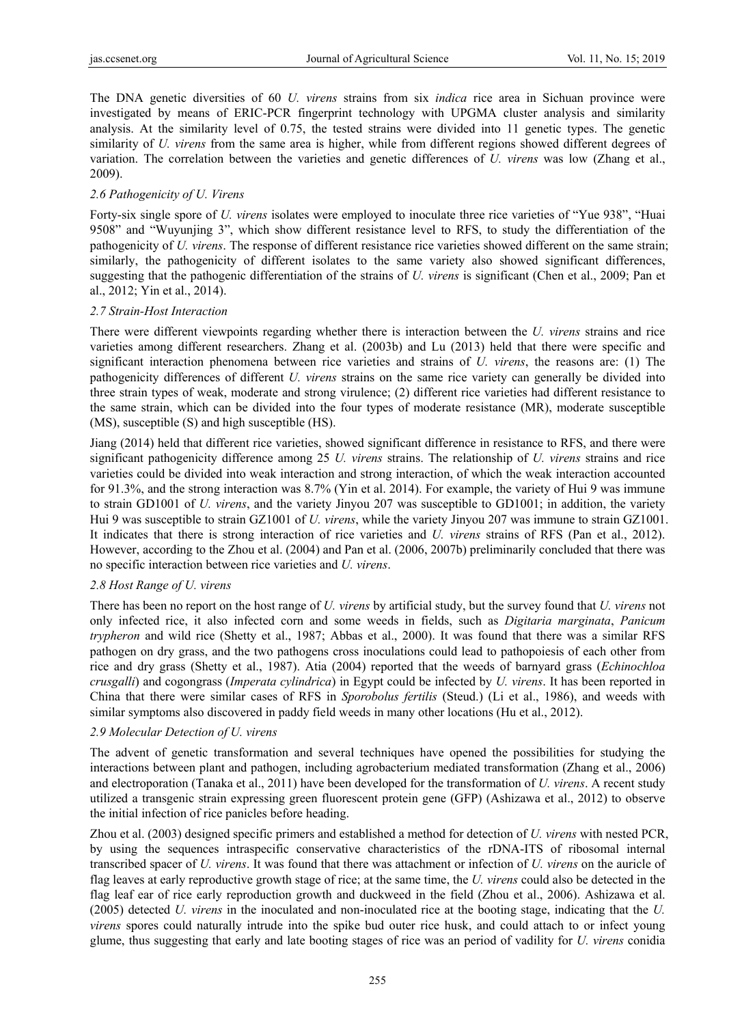The DNA genetic diversities of 60 *U. virens* strains from six *indica* rice area in Sichuan province were investigated by means of ERIC-PCR fingerprint technology with UPGMA cluster analysis and similarity analysis. At the similarity level of 0.75, the tested strains were divided into 11 genetic types. The genetic similarity of *U. virens* from the same area is higher, while from different regions showed different degrees of variation. The correlation between the varieties and genetic differences of *U. virens* was low (Zhang et al., 2009).

# *2.6 Pathogenicity of U. Virens*

Forty-six single spore of *U. virens* isolates were employed to inoculate three rice varieties of "Yue 938", "Huai 9508" and "Wuyunjing 3", which show different resistance level to RFS, to study the differentiation of the pathogenicity of *U. virens*. The response of different resistance rice varieties showed different on the same strain; similarly, the pathogenicity of different isolates to the same variety also showed significant differences, suggesting that the pathogenic differentiation of the strains of *U. virens* is significant (Chen et al., 2009; Pan et al., 2012; Yin et al., 2014).

#### *2.7 Strain-Host Interaction*

There were different viewpoints regarding whether there is interaction between the *U. virens* strains and rice varieties among different researchers. Zhang et al. (2003b) and Lu (2013) held that there were specific and significant interaction phenomena between rice varieties and strains of *U. virens*, the reasons are: (1) The pathogenicity differences of different *U. virens* strains on the same rice variety can generally be divided into three strain types of weak, moderate and strong virulence; (2) different rice varieties had different resistance to the same strain, which can be divided into the four types of moderate resistance (MR), moderate susceptible (MS), susceptible (S) and high susceptible (HS).

Jiang (2014) held that different rice varieties, showed significant difference in resistance to RFS, and there were significant pathogenicity difference among 25 *U. virens* strains. The relationship of *U. virens* strains and rice varieties could be divided into weak interaction and strong interaction, of which the weak interaction accounted for 91.3%, and the strong interaction was 8.7% (Yin et al. 2014). For example, the variety of Hui 9 was immune to strain GD1001 of *U. virens*, and the variety Jinyou 207 was susceptible to GD1001; in addition, the variety Hui 9 was susceptible to strain GZ1001 of *U. virens*, while the variety Jinyou 207 was immune to strain GZ1001. It indicates that there is strong interaction of rice varieties and *U. virens* strains of RFS (Pan et al., 2012). However, according to the Zhou et al. (2004) and Pan et al. (2006, 2007b) preliminarily concluded that there was no specific interaction between rice varieties and *U. virens*.

#### *2.8 Host Range of U. virens*

There has been no report on the host range of *U. virens* by artificial study, but the survey found that *U. virens* not only infected rice, it also infected corn and some weeds in fields, such as *Digitaria marginata*, *Panicum trypheron* and wild rice (Shetty et al., 1987; Abbas et al., 2000). It was found that there was a similar RFS pathogen on dry grass, and the two pathogens cross inoculations could lead to pathopoiesis of each other from rice and dry grass (Shetty et al., 1987). Atia (2004) reported that the weeds of barnyard grass (*Echinochloa crusgalli*) and cogongrass (*Imperata cylindrica*) in Egypt could be infected by *U. virens*. It has been reported in China that there were similar cases of RFS in *Sporobolus fertilis* (Steud.) (Li et al., 1986), and weeds with similar symptoms also discovered in paddy field weeds in many other locations (Hu et al., 2012).

#### *2.9 Molecular Detection of U. virens*

The advent of genetic transformation and several techniques have opened the possibilities for studying the interactions between plant and pathogen, including agrobacterium mediated transformation (Zhang et al., 2006) and electroporation (Tanaka et al., 2011) have been developed for the transformation of *U. virens*. A recent study utilized a transgenic strain expressing green fluorescent protein gene (GFP) (Ashizawa et al., 2012) to observe the initial infection of rice panicles before heading.

Zhou et al. (2003) designed specific primers and established a method for detection of *U. virens* with nested PCR, by using the sequences intraspecific conservative characteristics of the rDNA-ITS of ribosomal internal transcribed spacer of *U. virens*. It was found that there was attachment or infection of *U. virens* on the auricle of flag leaves at early reproductive growth stage of rice; at the same time, the *U. virens* could also be detected in the flag leaf ear of rice early reproduction growth and duckweed in the field (Zhou et al., 2006). Ashizawa et al. (2005) detected *U. virens* in the inoculated and non-inoculated rice at the booting stage, indicating that the *U. virens* spores could naturally intrude into the spike bud outer rice husk, and could attach to or infect young glume, thus suggesting that early and late booting stages of rice was an period of vadility for *U. virens* conidia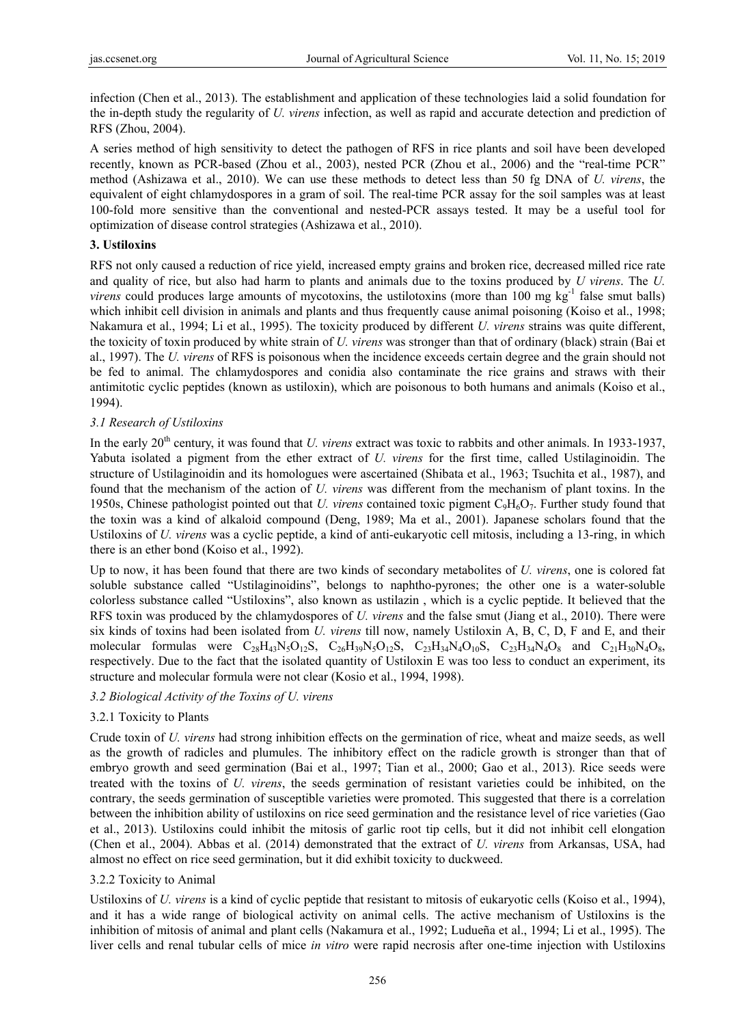infection (Chen et al., 2013). The establishment and application of these technologies laid a solid foundation for the in-depth study the regularity of *U. virens* infection, as well as rapid and accurate detection and prediction of RFS (Zhou, 2004).

A series method of high sensitivity to detect the pathogen of RFS in rice plants and soil have been developed recently, known as PCR-based (Zhou et al., 2003), nested PCR (Zhou et al., 2006) and the "real-time PCR" method (Ashizawa et al., 2010). We can use these methods to detect less than 50 fg DNA of *U. virens*, the equivalent of eight chlamydospores in a gram of soil. The real-time PCR assay for the soil samples was at least 100-fold more sensitive than the conventional and nested-PCR assays tested. It may be a useful tool for optimization of disease control strategies (Ashizawa et al., 2010).

# **3. Ustiloxins**

RFS not only caused a reduction of rice yield, increased empty grains and broken rice, decreased milled rice rate and quality of rice, but also had harm to plants and animals due to the toxins produced by *U virens*. The *U. virens* could produces large amounts of mycotoxins, the ustilotoxins (more than  $100 \text{ mg kg}^{-1}$  false smut balls) which inhibit cell division in animals and plants and thus frequently cause animal poisoning (Koiso et al., 1998; Nakamura et al., 1994; Li et al., 1995). The toxicity produced by different *U. virens* strains was quite different, the toxicity of toxin produced by white strain of *U. virens* was stronger than that of ordinary (black) strain (Bai et al., 1997). The *U. virens* of RFS is poisonous when the incidence exceeds certain degree and the grain should not be fed to animal. The chlamydospores and conidia also contaminate the rice grains and straws with their antimitotic cyclic peptides (known as ustiloxin), which are poisonous to both humans and animals (Koiso et al., 1994).

# *3.1 Research of Ustiloxins*

In the early 20<sup>th</sup> century, it was found that *U. virens* extract was toxic to rabbits and other animals. In 1933-1937, Yabuta isolated a pigment from the ether extract of *U. virens* for the first time, called Ustilaginoidin. The structure of Ustilaginoidin and its homologues were ascertained (Shibata et al., 1963; Tsuchita et al., 1987), and found that the mechanism of the action of *U. virens* was different from the mechanism of plant toxins. In the 1950s, Chinese pathologist pointed out that *U. virens* contained toxic pigment C9H6O7. Further study found that the toxin was a kind of alkaloid compound (Deng, 1989; Ma et al., 2001). Japanese scholars found that the Ustiloxins of *U. virens* was a cyclic peptide, a kind of anti-eukaryotic cell mitosis, including a 13-ring, in which there is an ether bond (Koiso et al., 1992).

Up to now, it has been found that there are two kinds of secondary metabolites of *U. virens*, one is colored fat soluble substance called "Ustilaginoidins", belongs to naphtho-pyrones; the other one is a water-soluble colorless substance called "Ustiloxins", also known as ustilazin , which is a cyclic peptide. It believed that the RFS toxin was produced by the chlamydospores of *U. virens* and the false smut (Jiang et al., 2010). There were six kinds of toxins had been isolated from *U. virens* till now, namely Ustiloxin A, B, C, D, F and E, and their molecular formulas were  $C_{28}H_{43}N_5O_{12}S$ ,  $C_{26}H_{39}N_5O_{12}S$ ,  $C_{23}H_{34}N_4O_{10}S$ ,  $C_{23}H_{34}N_4O_8$  and  $C_{21}H_{30}N_4O_8$ , respectively. Due to the fact that the isolated quantity of Ustiloxin E was too less to conduct an experiment, its structure and molecular formula were not clear (Kosio et al., 1994, 1998).

#### *3.2 Biological Activity of the Toxins of U. virens*

#### 3.2.1 Toxicity to Plants

Crude toxin of *U. virens* had strong inhibition effects on the germination of rice, wheat and maize seeds, as well as the growth of radicles and plumules. The inhibitory effect on the radicle growth is stronger than that of embryo growth and seed germination (Bai et al., 1997; Tian et al., 2000; Gao et al., 2013). Rice seeds were treated with the toxins of *U. virens*, the seeds germination of resistant varieties could be inhibited, on the contrary, the seeds germination of susceptible varieties were promoted. This suggested that there is a correlation between the inhibition ability of ustiloxins on rice seed germination and the resistance level of rice varieties (Gao et al., 2013). Ustiloxins could inhibit the mitosis of garlic root tip cells, but it did not inhibit cell elongation (Chen et al., 2004). Abbas et al. (2014) demonstrated that the extract of *U. virens* from Arkansas, USA, had almost no effect on rice seed germination, but it did exhibit toxicity to duckweed.

# 3.2.2 Toxicity to Animal

Ustiloxins of *U. virens* is a kind of cyclic peptide that resistant to mitosis of eukaryotic cells (Koiso et al., 1994), and it has a wide range of biological activity on animal cells. The active mechanism of Ustiloxins is the inhibition of mitosis of animal and plant cells (Nakamura et al., 1992; Ludueña et al., 1994; Li et al., 1995). The liver cells and renal tubular cells of mice *in vitro* were rapid necrosis after one-time injection with Ustiloxins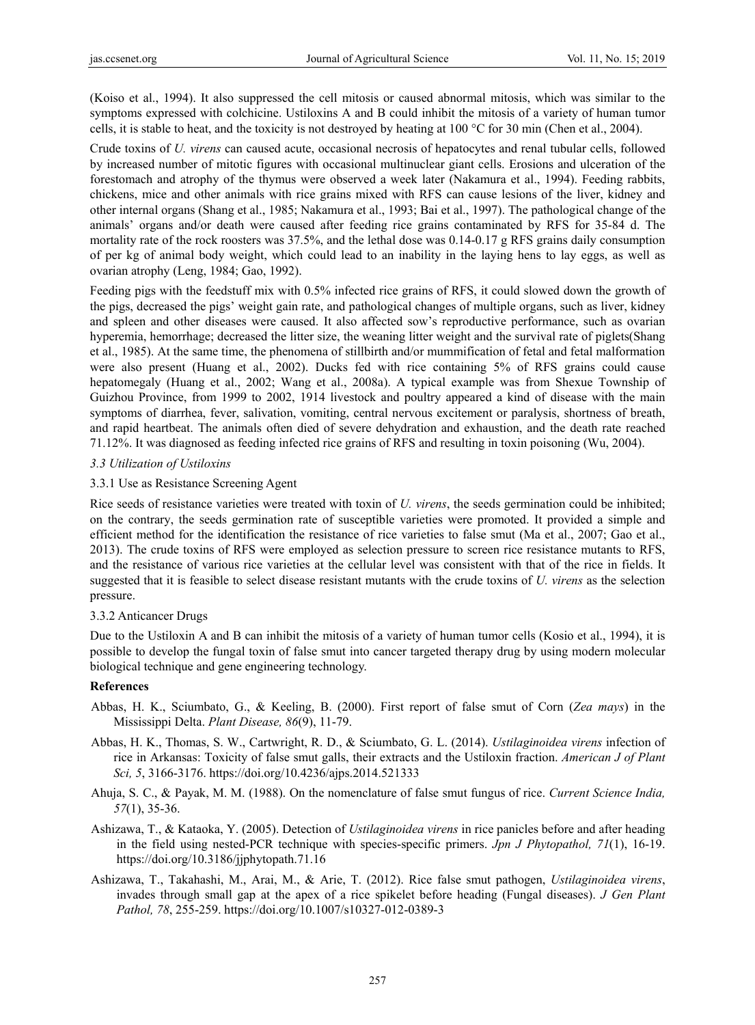(Koiso et al., 1994). It also suppressed the cell mitosis or caused abnormal mitosis, which was similar to the symptoms expressed with colchicine. Ustiloxins A and B could inhibit the mitosis of a variety of human tumor cells, it is stable to heat, and the toxicity is not destroyed by heating at 100 °C for 30 min (Chen et al., 2004).

Crude toxins of *U. virens* can caused acute, occasional necrosis of hepatocytes and renal tubular cells, followed by increased number of mitotic figures with occasional multinuclear giant cells. Erosions and ulceration of the forestomach and atrophy of the thymus were observed a week later (Nakamura et al., 1994). Feeding rabbits, chickens, mice and other animals with rice grains mixed with RFS can cause lesions of the liver, kidney and other internal organs (Shang et al., 1985; Nakamura et al., 1993; Bai et al., 1997). The pathological change of the animals' organs and/or death were caused after feeding rice grains contaminated by RFS for 35-84 d. The mortality rate of the rock roosters was 37.5%, and the lethal dose was 0.14-0.17 g RFS grains daily consumption of per kg of animal body weight, which could lead to an inability in the laying hens to lay eggs, as well as ovarian atrophy (Leng, 1984; Gao, 1992).

Feeding pigs with the feedstuff mix with 0.5% infected rice grains of RFS, it could slowed down the growth of the pigs, decreased the pigs' weight gain rate, and pathological changes of multiple organs, such as liver, kidney and spleen and other diseases were caused. It also affected sow's reproductive performance, such as ovarian hyperemia, hemorrhage; decreased the litter size, the weaning litter weight and the survival rate of piglets(Shang et al., 1985). At the same time, the phenomena of stillbirth and/or mummification of fetal and fetal malformation were also present (Huang et al., 2002). Ducks fed with rice containing 5% of RFS grains could cause hepatomegaly (Huang et al., 2002; Wang et al., 2008a). A typical example was from Shexue Township of Guizhou Province, from 1999 to 2002, 1914 livestock and poultry appeared a kind of disease with the main symptoms of diarrhea, fever, salivation, vomiting, central nervous excitement or paralysis, shortness of breath, and rapid heartbeat. The animals often died of severe dehydration and exhaustion, and the death rate reached 71.12%. It was diagnosed as feeding infected rice grains of RFS and resulting in toxin poisoning (Wu, 2004).

# *3.3 Utilization of Ustiloxins*

#### 3.3.1 Use as Resistance Screening Agent

Rice seeds of resistance varieties were treated with toxin of *U. virens*, the seeds germination could be inhibited; on the contrary, the seeds germination rate of susceptible varieties were promoted. It provided a simple and efficient method for the identification the resistance of rice varieties to false smut (Ma et al., 2007; Gao et al., 2013). The crude toxins of RFS were employed as selection pressure to screen rice resistance mutants to RFS, and the resistance of various rice varieties at the cellular level was consistent with that of the rice in fields. It suggested that it is feasible to select disease resistant mutants with the crude toxins of *U. virens* as the selection pressure.

#### 3.3.2 Anticancer Drugs

Due to the Ustiloxin A and B can inhibit the mitosis of a variety of human tumor cells (Kosio et al., 1994), it is possible to develop the fungal toxin of false smut into cancer targeted therapy drug by using modern molecular biological technique and gene engineering technology.

#### **References**

- Abbas, H. K., Sciumbato, G., & Keeling, B. (2000). First report of false smut of Corn (*Zea mays*) in the Mississippi Delta. *Plant Disease, 86*(9), 11-79.
- Abbas, H. K., Thomas, S. W., Cartwright, R. D., & Sciumbato, G. L. (2014). *Ustilaginoidea virens* infection of rice in Arkansas: Toxicity of false smut galls, their extracts and the Ustiloxin fraction. *American J of Plant Sci, 5*, 3166-3176. https://doi.org/10.4236/ajps.2014.521333
- Ahuja, S. C., & Payak, M. M. (1988). On the nomenclature of false smut fungus of rice. *Current Science India, 57*(1), 35-36.
- Ashizawa, T., & Kataoka, Y. (2005). Detection of *Ustilaginoidea virens* in rice panicles before and after heading in the field using nested-PCR technique with species-specific primers. *Jpn J Phytopathol, 71*(1), 16-19. https://doi.org/10.3186/jjphytopath.71.16
- Ashizawa, T., Takahashi, M., Arai, M., & Arie, T. (2012). Rice false smut pathogen, *Ustilaginoidea virens*, invades through small gap at the apex of a rice spikelet before heading (Fungal diseases). *J Gen Plant Pathol, 78*, 255-259. https://doi.org/10.1007/s10327-012-0389-3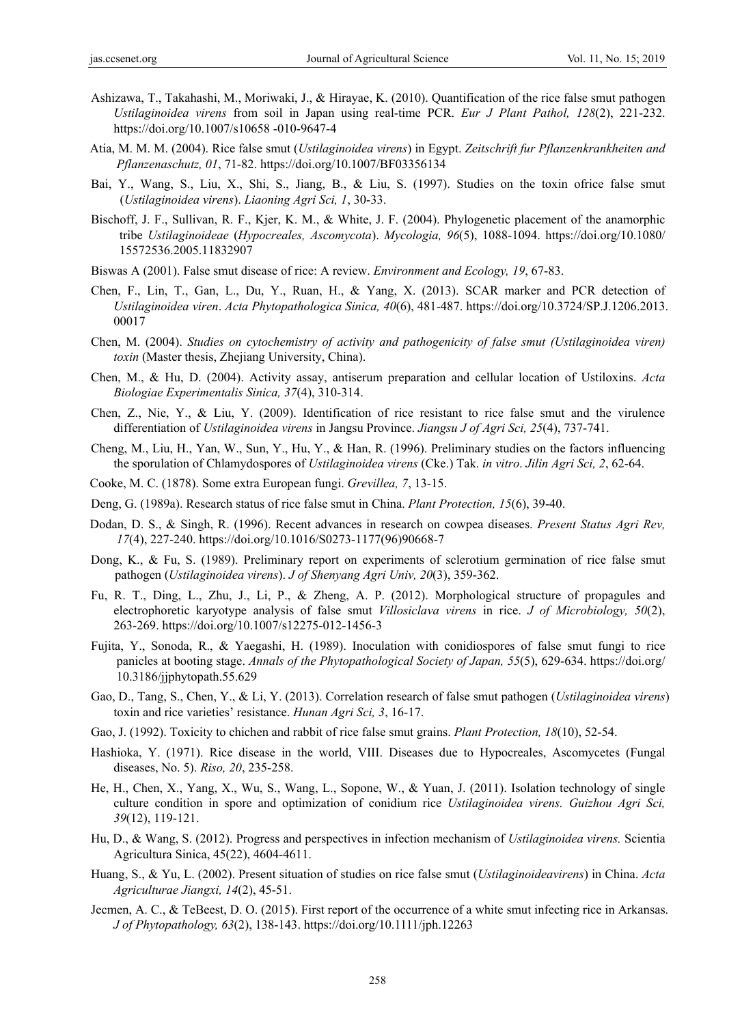- Ashizawa, T., Takahashi, M., Moriwaki, J., & Hirayae, K. (2010). Quantification of the rice false smut pathogen *Ustilaginoidea virens* from soil in Japan using real-time PCR. *Eur J Plant Pathol, 128*(2), 221-232. https://doi.org/10.1007/s10658 -010-9647-4
- Atia, M. M. M. (2004). Rice false smut (*Ustilaginoidea virens*) in Egypt. *Zeitschrift fur Pflanzenkrankheiten and Pflanzenaschutz, 01*, 71-82. https://doi.org/10.1007/BF03356134
- Bai, Y., Wang, S., Liu, X., Shi, S., Jiang, B., & Liu, S. (1997). Studies on the toxin ofrice false smut (*Ustilaginoidea virens*). *Liaoning Agri Sci, 1*, 30-33.
- Bischoff, J. F., Sullivan, R. F., Kjer, K. M., & White, J. F. (2004). Phylogenetic placement of the anamorphic tribe *Ustilaginoideae* (*Hypocreales, Ascomycota*). *Mycologia, 96*(5), 1088-1094. https://doi.org/10.1080/ 15572536.2005.11832907
- Biswas A (2001). False smut disease of rice: A review. *Environment and Ecology, 19*, 67-83.
- Chen, F., Lin, T., Gan, L., Du, Y., Ruan, H., & Yang, X. (2013). SCAR marker and PCR detection of *Ustilaginoidea viren*. *Acta Phytopathologica Sinica, 40*(6), 481-487. https://doi.org/10.3724/SP.J.1206.2013. 00017
- Chen, M. (2004). *Studies on cytochemistry of activity and pathogenicity of false smut (Ustilaginoidea viren) toxin* (Master thesis, Zhejiang University, China).
- Chen, M., & Hu, D. (2004). Activity assay, antiserum preparation and cellular location of Ustiloxins. *Acta Biologiae Experimentalis Sinica, 37*(4), 310-314.
- Chen, Z., Nie, Y., & Liu, Y. (2009). Identification of rice resistant to rice false smut and the virulence differentiation of *Ustilaginoidea virens* in Jangsu Province. *Jiangsu J of Agri Sci, 25*(4), 737-741.
- Cheng, M., Liu, H., Yan, W., Sun, Y., Hu, Y., & Han, R. (1996). Preliminary studies on the factors influencing the sporulation of Chlamydospores of *Ustilaginoidea virens* (Cke.) Tak. *in vitro*. *Jilin Agri Sci, 2*, 62-64.
- Cooke, M. C. (1878). Some extra European fungi. *Grevillea, 7*, 13-15.
- Deng, G. (1989a). Research status of rice false smut in China. *Plant Protection, 15*(6), 39-40.
- Dodan, D. S., & Singh, R. (1996). Recent advances in research on cowpea diseases. *Present Status Agri Rev, 17*(4), 227-240. https://doi.org/10.1016/S0273-1177(96)90668-7
- Dong, K., & Fu, S. (1989). Preliminary report on experiments of sclerotium germination of rice false smut pathogen (*Ustilaginoidea virens*). *J of Shenyang Agri Univ, 20*(3), 359-362.
- Fu, R. T., Ding, L., Zhu, J., Li, P., & Zheng, A. P. (2012). Morphological structure of propagules and electrophoretic karyotype analysis of false smut *Villosiclava virens* in rice. *J of Microbiology, 50*(2), 263-269. https://doi.org/10.1007/s12275-012-1456-3
- Fujita, Y., Sonoda, R., & Yaegashi, H. (1989). Inoculation with conidiospores of false smut fungi to rice panicles at booting stage. *Annals of the Phytopathological Society of Japan, 55*(5), 629-634. https://doi.org/ 10.3186/jjphytopath.55.629
- Gao, D., Tang, S., Chen, Y., & Li, Y. (2013). Correlation research of false smut pathogen (*Ustilaginoidea virens*) toxin and rice varieties' resistance. *Hunan Agri Sci, 3*, 16-17.
- Gao, J. (1992). Toxicity to chichen and rabbit of rice false smut grains. *Plant Protection, 18*(10), 52-54.
- Hashioka, Y. (1971). Rice disease in the world, VIII. Diseases due to Hypocreales, Ascomycetes (Fungal diseases, No. 5). *Riso, 20*, 235-258.
- He, H., Chen, X., Yang, X., Wu, S., Wang, L., Sopone, W., & Yuan, J. (2011). Isolation technology of single culture condition in spore and optimization of conidium rice *Ustilaginoidea virens. Guizhou Agri Sci, 39*(12), 119-121.
- Hu, D., & Wang, S. (2012). Progress and perspectives in infection mechanism of *Ustilaginoidea virens.* Scientia Agricultura Sinica, 45(22), 4604-4611.
- Huang, S., & Yu, L. (2002). Present situation of studies on rice false smut (*Ustilaginoideavirens*) in China. *Acta Agriculturae Jiangxi, 14*(2), 45-51.
- Jecmen, A. C., & TeBeest, D. O. (2015). First report of the occurrence of a white smut infecting rice in Arkansas. *J of Phytopathology, 63*(2), 138-143. https://doi.org/10.1111/jph.12263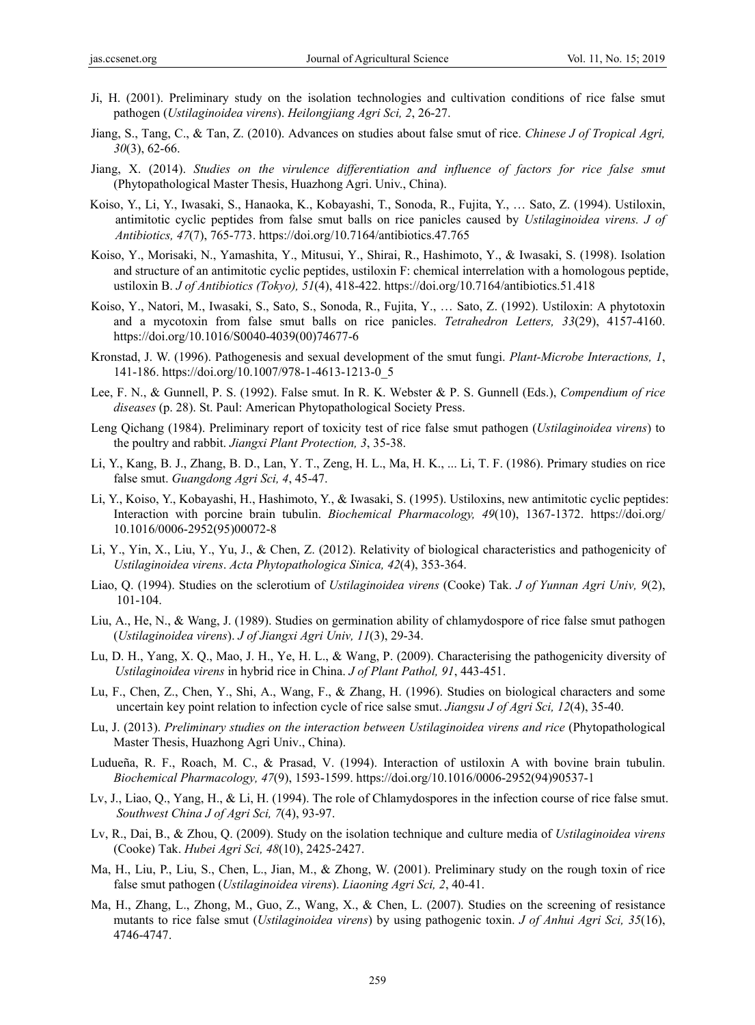- Ji, H. (2001). Preliminary study on the isolation technologies and cultivation conditions of rice false smut pathogen (*Ustilaginoidea virens*). *Heilongjiang Agri Sci, 2*, 26-27.
- Jiang, S., Tang, C., & Tan, Z. (2010). Advances on studies about false smut of rice. *Chinese J of Tropical Agri, 30*(3), 62-66.
- Jiang, X. (2014). *Studies on the virulence differentiation and influence of factors for rice false smut*  (Phytopathological Master Thesis, Huazhong Agri. Univ., China).
- Koiso, Y., Li, Y., Iwasaki, S., Hanaoka, K., Kobayashi, T., Sonoda, R., Fujita, Y., … Sato, Z. (1994). Ustiloxin, antimitotic cyclic peptides from false smut balls on rice panicles caused by *Ustilaginoidea virens. J of Antibiotics, 47*(7), 765-773. https://doi.org/10.7164/antibiotics.47.765
- Koiso, Y., Morisaki, N., Yamashita, Y., Mitusui, Y., Shirai, R., Hashimoto, Y., & Iwasaki, S. (1998). Isolation and structure of an antimitotic cyclic peptides, ustiloxin F: chemical interrelation with a homologous peptide, ustiloxin B. *J of Antibiotics (Tokyo), 51*(4), 418-422. https://doi.org/10.7164/antibiotics.51.418
- Koiso, Y., Natori, M., Iwasaki, S., Sato, S., Sonoda, R., Fujita, Y., … Sato, Z. (1992). Ustiloxin: A phytotoxin and a mycotoxin from false smut balls on rice panicles. *Tetrahedron Letters, 33*(29), 4157-4160. https://doi.org/10.1016/S0040-4039(00)74677-6
- Kronstad, J. W. (1996). Pathogenesis and sexual development of the smut fungi. *Plant-Microbe Interactions, 1*, 141-186. https://doi.org/10.1007/978-1-4613-1213-0\_5
- Lee, F. N., & Gunnell, P. S. (1992). False smut. In R. K. Webster & P. S. Gunnell (Eds.), *Compendium of rice diseases* (p. 28). St. Paul: American Phytopathological Society Press.
- Leng Qichang (1984). Preliminary report of toxicity test of rice false smut pathogen (*Ustilaginoidea virens*) to the poultry and rabbit. *Jiangxi Plant Protection, 3*, 35-38.
- Li, Y., Kang, B. J., Zhang, B. D., Lan, Y. T., Zeng, H. L., Ma, H. K., ... Li, T. F. (1986). Primary studies on rice false smut. *Guangdong Agri Sci, 4*, 45-47.
- Li, Y., Koiso, Y., Kobayashi, H., Hashimoto, Y., & Iwasaki, S. (1995). Ustiloxins, new antimitotic cyclic peptides: Interaction with porcine brain tubulin. *Biochemical Pharmacology, 49*(10), 1367-1372. https://doi.org/ 10.1016/0006-2952(95)00072-8
- Li, Y., Yin, X., Liu, Y., Yu, J., & Chen, Z. (2012). Relativity of biological characteristics and pathogenicity of *Ustilaginoidea virens*. *Acta Phytopathologica Sinica, 42*(4), 353-364.
- Liao, Q. (1994). Studies on the sclerotium of *Ustilaginoidea virens* (Cooke) Tak. *J of Yunnan Agri Univ, 9*(2), 101-104.
- Liu, A., He, N., & Wang, J. (1989). Studies on germination ability of chlamydospore of rice false smut pathogen (*Ustilaginoidea virens*). *J of Jiangxi Agri Univ, 11*(3), 29-34.
- Lu, D. H., Yang, X. Q., Mao, J. H., Ye, H. L., & Wang, P. (2009). Characterising the pathogenicity diversity of *Ustilaginoidea virens* in hybrid rice in China. *J of Plant Pathol, 91*, 443-451.
- Lu, F., Chen, Z., Chen, Y., Shi, A., Wang, F., & Zhang, H. (1996). Studies on biological characters and some uncertain key point relation to infection cycle of rice salse smut. *Jiangsu J of Agri Sci, 12*(4), 35-40.
- Lu, J. (2013). *Preliminary studies on the interaction between Ustilaginoidea virens and rice* (Phytopathological Master Thesis, Huazhong Agri Univ., China).
- Ludueña, R. F., Roach, M. C., & Prasad, V. (1994). Interaction of ustiloxin A with bovine brain tubulin. *Biochemical Pharmacology, 47*(9), 1593-1599. https://doi.org/10.1016/0006-2952(94)90537-1
- Lv, J., Liao, Q., Yang, H., & Li, H. (1994). The role of Chlamydospores in the infection course of rice false smut. *Southwest China J of Agri Sci, 7*(4), 93-97.
- Lv, R., Dai, B., & Zhou, Q. (2009). Study on the isolation technique and culture media of *Ustilaginoidea virens* (Cooke) Tak. *Hubei Agri Sci, 48*(10), 2425-2427.
- Ma, H., Liu, P., Liu, S., Chen, L., Jian, M., & Zhong, W. (2001). Preliminary study on the rough toxin of rice false smut pathogen (*Ustilaginoidea virens*). *Liaoning Agri Sci, 2*, 40-41.
- Ma, H., Zhang, L., Zhong, M., Guo, Z., Wang, X., & Chen, L. (2007). Studies on the screening of resistance mutants to rice false smut (*Ustilaginoidea virens*) by using pathogenic toxin. *J of Anhui Agri Sci, 35*(16), 4746-4747.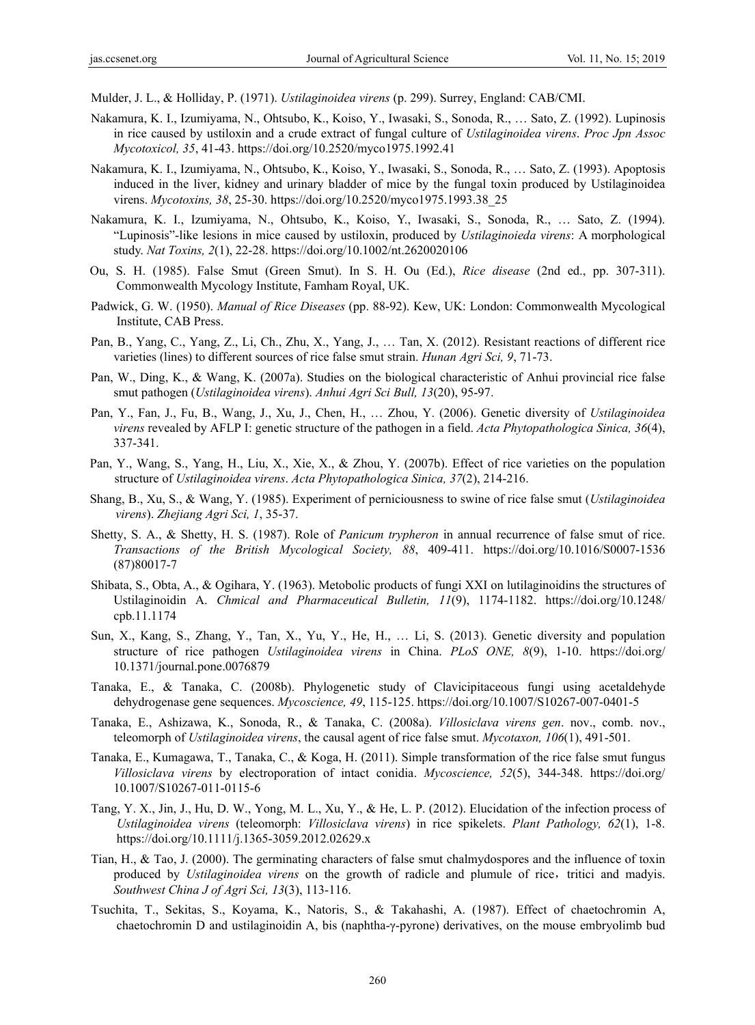Mulder, J. L., & Holliday, P. (1971). *Ustilaginoidea virens* (p. 299). Surrey, England: CAB/CMI.

- Nakamura, K. I., Izumiyama, N., Ohtsubo, K., Koiso, Y., Iwasaki, S., Sonoda, R., … Sato, Z. (1992). Lupinosis in rice caused by ustiloxin and a crude extract of fungal culture of *Ustilaginoidea virens*. *Proc Jpn Assoc Mycotoxicol, 35*, 41-43. https://doi.org/10.2520/myco1975.1992.41
- Nakamura, K. I., Izumiyama, N., Ohtsubo, K., Koiso, Y., Iwasaki, S., Sonoda, R., … Sato, Z. (1993). Apoptosis induced in the liver, kidney and urinary bladder of mice by the fungal toxin produced by Ustilaginoidea virens. *Mycotoxins, 38*, 25-30. https://doi.org/10.2520/myco1975.1993.38\_25
- Nakamura, K. I., Izumiyama, N., Ohtsubo, K., Koiso, Y., Iwasaki, S., Sonoda, R., … Sato, Z. (1994). "Lupinosis"-like lesions in mice caused by ustiloxin, produced by *Ustilaginoieda virens*: A morphological study. *Nat Toxins, 2*(1), 22-28. https://doi.org/10.1002/nt.2620020106
- Ou, S. H. (1985). False Smut (Green Smut). In S. H. Ou (Ed.), *Rice disease* (2nd ed., pp. 307-311). Commonwealth Mycology Institute, Famham Royal, UK.
- Padwick, G. W. (1950). *Manual of Rice Diseases* (pp. 88-92). Kew, UK: London: Commonwealth Mycological Institute, CAB Press.
- Pan, B., Yang, C., Yang, Z., Li, Ch., Zhu, X., Yang, J., … Tan, X. (2012). Resistant reactions of different rice varieties (lines) to different sources of rice false smut strain. *Hunan Agri Sci, 9*, 71-73.
- Pan, W., Ding, K., & Wang, K. (2007a). Studies on the biological characteristic of Anhui provincial rice false smut pathogen (*Ustilaginoidea virens*). *Anhui Agri Sci Bull, 13*(20), 95-97.
- Pan, Y., Fan, J., Fu, B., Wang, J., Xu, J., Chen, H., … Zhou, Y. (2006). Genetic diversity of *Ustilaginoidea virens* revealed by AFLP I: genetic structure of the pathogen in a field. *Acta Phytopathologica Sinica, 36*(4), 337-341.
- Pan, Y., Wang, S., Yang, H., Liu, X., Xie, X., & Zhou, Y. (2007b). Effect of rice varieties on the population structure of *Ustilaginoidea virens*. *Acta Phytopathologica Sinica, 37*(2), 214-216.
- Shang, B., Xu, S., & Wang, Y. (1985). Experiment of perniciousness to swine of rice false smut (*Ustilaginoidea virens*). *Zhejiang Agri Sci, 1*, 35-37.
- Shetty, S. A., & Shetty, H. S. (1987). Role of *Panicum trypheron* in annual recurrence of false smut of rice. *Transactions of the British Mycological Society, 88*, 409-411. https://doi.org/10.1016/S0007-1536 (87)80017-7
- Shibata, S., Obta, A., & Ogihara, Y. (1963). Metobolic products of fungi XXI on lutilaginoidins the structures of Ustilaginoidin A. *Chmical and Pharmaceutical Bulletin, 11*(9), 1174-1182. https://doi.org/10.1248/ cpb.11.1174
- Sun, X., Kang, S., Zhang, Y., Tan, X., Yu, Y., He, H., … Li, S. (2013). Genetic diversity and population structure of rice pathogen *Ustilaginoidea virens* in China. *PLoS ONE, 8*(9), 1-10. https://doi.org/ 10.1371/journal.pone.0076879
- Tanaka, E., & Tanaka, C. (2008b). Phylogenetic study of Clavicipitaceous fungi using acetaldehyde dehydrogenase gene sequences. *Mycoscience, 49*, 115-125. https://doi.org/10.1007/S10267-007-0401-5
- Tanaka, E., Ashizawa, K., Sonoda, R., & Tanaka, C. (2008a). *Villosiclava virens gen*. nov., comb. nov., teleomorph of *Ustilaginoidea virens*, the causal agent of rice false smut. *Mycotaxon, 106*(1), 491-501.
- Tanaka, E., Kumagawa, T., Tanaka, C., & Koga, H. (2011). Simple transformation of the rice false smut fungus *Villosiclava virens* by electroporation of intact conidia. *Mycoscience, 52*(5), 344-348. https://doi.org/ 10.1007/S10267-011-0115-6
- Tang, Y. X., Jin, J., Hu, D. W., Yong, M. L., Xu, Y., & He, L. P. (2012). Elucidation of the infection process of *Ustilaginoidea virens* (teleomorph: *Villosiclava virens*) in rice spikelets. *Plant Pathology, 62*(1), 1-8. https://doi.org/10.1111/j.1365-3059.2012.02629.x
- Tian, H., & Tao, J. (2000). The germinating characters of false smut chalmydospores and the influence of toxin produced by *Ustilaginoidea virens* on the growth of radicle and plumule of rice, tritici and madyis. *Southwest China J of Agri Sci, 13*(3), 113-116.
- Tsuchita, T., Sekitas, S., Koyama, K., Natoris, S., & Takahashi, A. (1987). Effect of chaetochromin A, chaetochromin D and ustilaginoidin A, bis (naphtha-γ-pyrone) derivatives, on the mouse embryolimb bud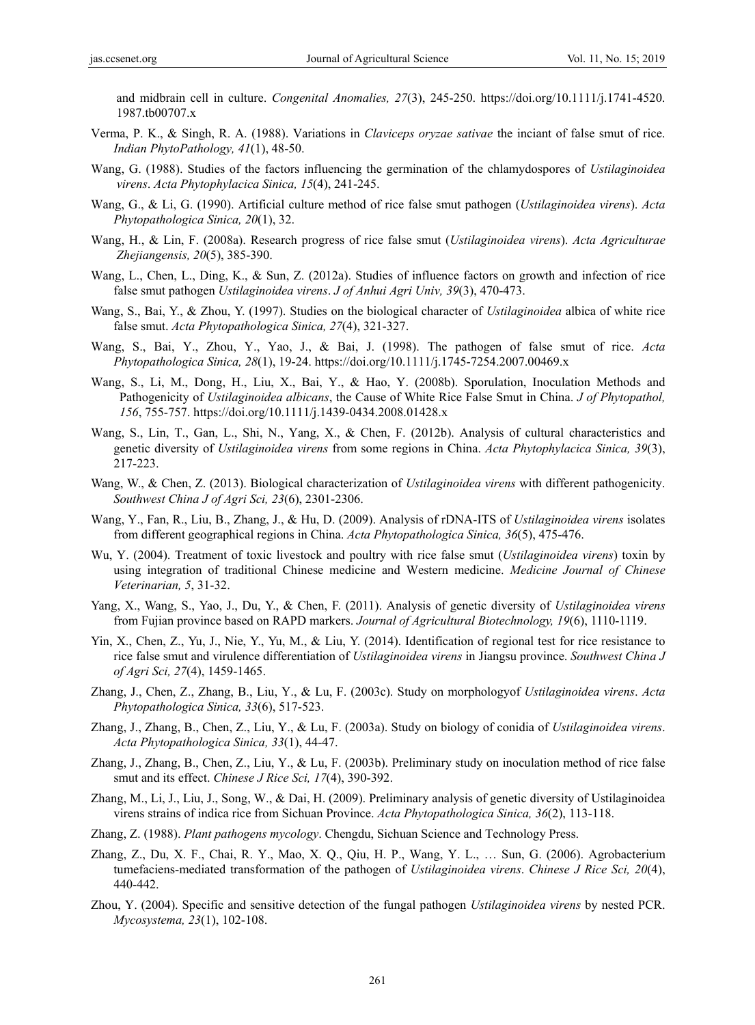and midbrain cell in culture. *Congenital Anomalies, 27*(3), 245-250. https://doi.org/10.1111/j.1741-4520. 1987.tb00707.x

- Verma, P. K., & Singh, R. A. (1988). Variations in *Claviceps oryzae sativae* the inciant of false smut of rice. *Indian PhytoPathology, 41*(1), 48-50.
- Wang, G. (1988). Studies of the factors influencing the germination of the chlamydospores of *Ustilaginoidea virens*. *Acta Phytophylacica Sinica, 15*(4), 241-245.
- Wang, G., & Li, G. (1990). Artificial culture method of rice false smut pathogen (*Ustilaginoidea virens*). *Acta Phytopathologica Sinica, 20*(1), 32.
- Wang, H., & Lin, F. (2008a). Research progress of rice false smut (*Ustilaginoidea virens*). *Acta Agriculturae Zhejiangensis, 20*(5), 385-390.
- Wang, L., Chen, L., Ding, K., & Sun, Z. (2012a). Studies of influence factors on growth and infection of rice false smut pathogen *Ustilaginoidea virens*. *J of Anhui Agri Univ, 39*(3), 470-473.
- Wang, S., Bai, Y., & Zhou, Y. (1997). Studies on the biological character of *Ustilaginoidea* albica of white rice false smut. *Acta Phytopathologica Sinica, 27*(4), 321-327.
- Wang, S., Bai, Y., Zhou, Y., Yao, J., & Bai, J. (1998). The pathogen of false smut of rice. *Acta Phytopathologica Sinica, 28*(1), 19-24. https://doi.org/10.1111/j.1745-7254.2007.00469.x
- Wang, S., Li, M., Dong, H., Liu, X., Bai, Y., & Hao, Y. (2008b). Sporulation, Inoculation Methods and Pathogenicity of *Ustilaginoidea albicans*, the Cause of White Rice False Smut in China. *J of Phytopathol, 156*, 755-757. https://doi.org/10.1111/j.1439-0434.2008.01428.x
- Wang, S., Lin, T., Gan, L., Shi, N., Yang, X., & Chen, F. (2012b). Analysis of cultural characteristics and genetic diversity of *Ustilaginoidea virens* from some regions in China. *Acta Phytophylacica Sinica, 39*(3), 217-223.
- Wang, W., & Chen, Z. (2013). Biological characterization of *Ustilaginoidea virens* with different pathogenicity. *Southwest China J of Agri Sci, 23*(6), 2301-2306.
- Wang, Y., Fan, R., Liu, B., Zhang, J., & Hu, D. (2009). Analysis of rDNA-ITS of *Ustilaginoidea virens* isolates from different geographical regions in China. *Acta Phytopathologica Sinica, 36*(5), 475-476.
- Wu, Y. (2004). Treatment of toxic livestock and poultry with rice false smut (*Ustilaginoidea virens*) toxin by using integration of traditional Chinese medicine and Western medicine. *Medicine Journal of Chinese Veterinarian, 5*, 31-32.
- Yang, X., Wang, S., Yao, J., Du, Y., & Chen, F. (2011). Analysis of genetic diversity of *Ustilaginoidea virens* from Fujian province based on RAPD markers. *Journal of Agricultural Biotechnology, 19*(6), 1110-1119.
- Yin, X., Chen, Z., Yu, J., Nie, Y., Yu, M., & Liu, Y. (2014). Identification of regional test for rice resistance to rice false smut and virulence differentiation of *Ustilaginoidea virens* in Jiangsu province. *Southwest China J of Agri Sci, 27*(4), 1459-1465.
- Zhang, J., Chen, Z., Zhang, B., Liu, Y., & Lu, F. (2003c). Study on morphologyof *Ustilaginoidea virens*. *Acta Phytopathologica Sinica, 33*(6), 517-523.
- Zhang, J., Zhang, B., Chen, Z., Liu, Y., & Lu, F. (2003a). Study on biology of conidia of *Ustilaginoidea virens*. *Acta Phytopathologica Sinica, 33*(1), 44-47.
- Zhang, J., Zhang, B., Chen, Z., Liu, Y., & Lu, F. (2003b). Preliminary study on inoculation method of rice false smut and its effect. *Chinese J Rice Sci, 17*(4), 390-392.
- Zhang, M., Li, J., Liu, J., Song, W., & Dai, H. (2009). Preliminary analysis of genetic diversity of Ustilaginoidea virens strains of indica rice from Sichuan Province. *Acta Phytopathologica Sinica, 36*(2), 113-118.
- Zhang, Z. (1988). *Plant pathogens mycology*. Chengdu, Sichuan Science and Technology Press.
- Zhang, Z., Du, X. F., Chai, R. Y., Mao, X. Q., Qiu, H. P., Wang, Y. L., … Sun, G. (2006). Agrobacterium tumefaciens-mediated transformation of the pathogen of *Ustilaginoidea virens*. *Chinese J Rice Sci, 20*(4), 440-442.
- Zhou, Y. (2004). Specific and sensitive detection of the fungal pathogen *Ustilaginoidea virens* by nested PCR. *Mycosystema, 23*(1), 102-108.